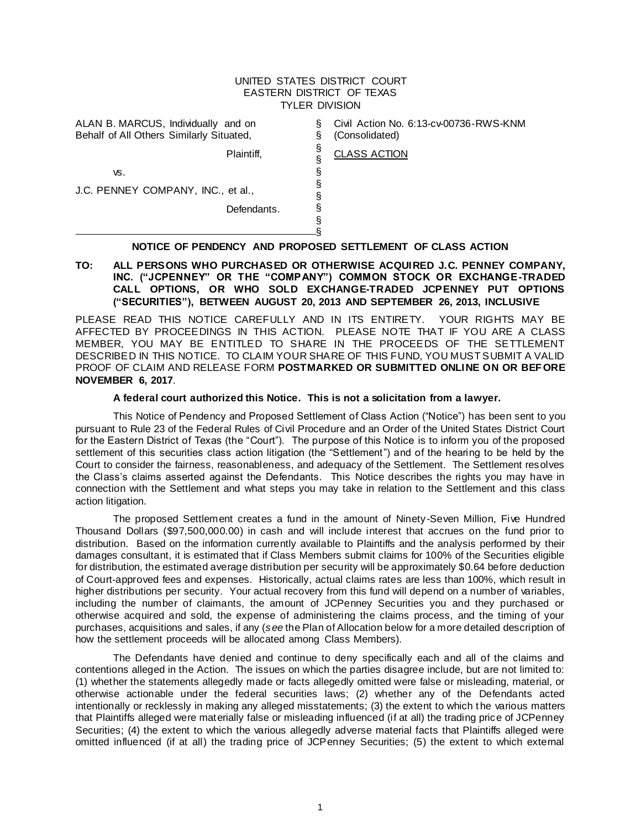#### UNITED STATES DISTRICT COURT EASTERN DISTRICT OF TEXAS TYLER DIVISION

§ § § § § § § § §

CLASS ACTION

ALAN B. MARCUS, Individually and on Behalf of All Others Similarly Situated,

Civil Action No. 6:13-cv-00736-RWS-KNM (Consolidated)

Plaintiff,

vs.

J.C. PENNEY COMPANY, INC., et al.,

Defendants.

# § **NOTICE OF PENDENCY AND PROPOSED SETTLEMENT OF CLASS ACTION**

#### **TO: ALL PERSONS WHO PURCHASED OR OTHERWISE ACQUIRED J.C. PENNEY COMPANY, INC. ("JCPENNEY" OR THE "COMPANY") COMMON STOCK OR EXCHANGE-TRADED CALL OPTIONS, OR WHO SOLD EXCHANGE-TRADED JCPENNEY PUT OPTIONS ("SECURITIES"), BETWEEN AUGUST 20, 2013 AND SEPTEMBER 26, 2013, INCLUSIVE**

PLEASE READ THIS NOTICE CAREFULLY AND IN ITS ENTIRETY. YOUR RIGHTS MAY BE AFFECTED BY PROCEEDINGS IN THIS ACTION. PLEASE NOTE THAT IF YOU ARE A CLASS MEMBER, YOU MAY BE ENTITLED TO SHARE IN THE PROCEEDS OF THE SETTLEMENT DESCRIBED IN THIS NOTICE. TO CLAIM YOUR SHARE OF THIS FUND, YOU MUST SUBMIT A VALID PROOF OF CLAIM AND RELEASE FORM **POSTMARKED OR SUBMITTED ONLINE ON OR BEFORE NOVEMBER 6, 2017**.

#### **A federal court authorized this Notice. This is not a solicitation from a lawyer.**

This Notice of Pendency and Proposed Settlement of Class Action ("Notice") has been sent to you pursuant to Rule 23 of the Federal Rules of Civil Procedure and an Order of the United States District Court for the Eastern District of Texas (the "Court"). The purpose of this Notice is to inform you of the proposed settlement of this securities class action litigation (the "Settlement") and of the hearing to be held by the Court to consider the fairness, reasonableness, and adequacy of the Settlement. The Settlement resolves the Class's claims asserted against the Defendants. This Notice describes the rights you may have in connection with the Settlement and what steps you may take in relation to the Settlement and this class action litigation.

The proposed Settlement creates a fund in the amount of Ninety-Seven Million, Five Hundred Thousand Dollars (\$97,500,000.00) in cash and will include interest that accrues on the fund prior to distribution. Based on the information currently available to Plaintiffs and the analysis performed by their damages consultant, it is estimated that if Class Members submit claims for 100% of the Securities eligible for distribution, the estimated average distribution per security will be approximately \$0.64 before deduction of Court-approved fees and expenses. Historically, actual claims rates are less than 100%, which result in higher distributions per security. Your actual recovery from this fund will depend on a number of variables, including the number of claimants, the amount of JCPenney Securities you and they purchased or otherwise acquired and sold, the expense of administering the claims process, and the timing of your purchases, acquisitions and sales, if any (*see* the Plan of Allocation below for a more detailed description of how the settlement proceeds will be allocated among Class Members).

The Defendants have denied and continue to deny specifically each and all of the claims and contentions alleged in the Action. The issues on which the parties disagree include, but are not limited to: (1) whether the statements allegedly made or facts allegedly omitted were false or misleading, material, or otherwise actionable under the federal securities laws; (2) whether any of the Defendants acted intentionally or recklessly in making any alleged misstatements; (3) the extent to which t he various matters that Plaintiffs alleged were materially false or misleading influenced (if at all) the trading price of JCPenney Securities; (4) the extent to which the various allegedly adverse material facts that Plaintiffs alleged were omitted influenced (if at all) the trading price of JCPenney Securities; (5) the extent to which external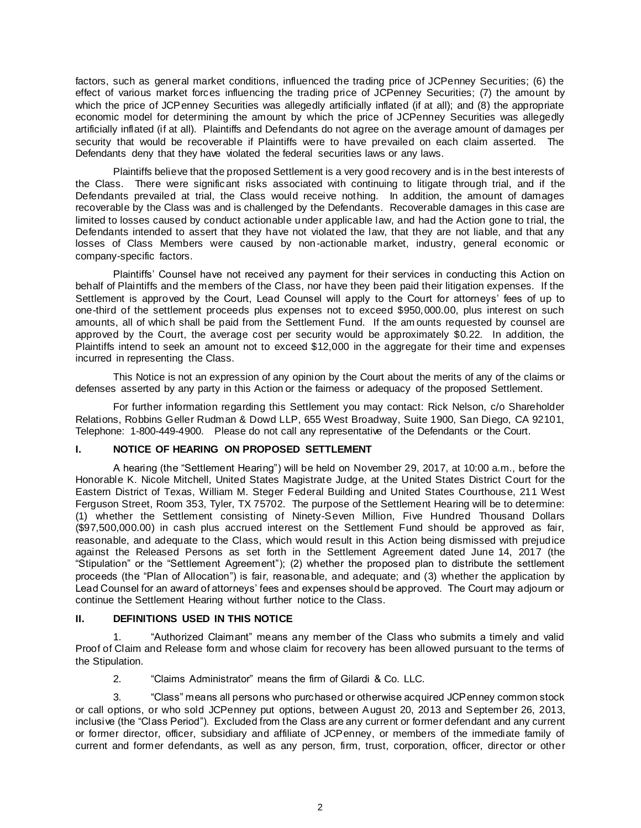factors, such as general market conditions, influenced the trading price of JCPenney Securities; (6) the effect of various market forces influencing the trading price of JCPenney Securities; (7) the amount by which the price of JCPenney Securities was allegedly artificially inflated (if at all); and (8) the appropriate economic model for determining the amount by which the price of JCPenney Securities was allegedly artificially inflated (if at all). Plaintiffs and Defendants do not agree on the average amount of damages per security that would be recoverable if Plaintiffs were to have prevailed on each claim asserted. The Defendants deny that they have violated the federal securities laws or any laws.

Plaintiffs believe that the proposed Settlement is a very good recovery and is in the best interests of the Class. There were significant risks associated with continuing to litigate through trial, and if the Defendants prevailed at trial, the Class would receive nothing. In addition, the amount of damages recoverable by the Class was and is challenged by the Defendants. Recoverable damages in this case are limited to losses caused by conduct actionable under applicable law, and had the Action gone to trial, the Defendants intended to assert that they have not violated the law, that they are not liable, and that any losses of Class Members were caused by non-actionable market, industry, general economic or company-specific factors.

Plaintiffs' Counsel have not received any payment for their services in conducting this Action on behalf of Plaintiffs and the members of the Class, nor have they been paid their litigation expenses. If the Settlement is approved by the Court, Lead Counsel will apply to the Court for attorneys' fees of up to one-third of the settlement proceeds plus expenses not to exceed \$950,000.00, plus interest on such amounts, all of which shall be paid from the Settlement Fund. If the am ounts requested by counsel are approved by the Court, the average cost per security would be approximately \$0.22. In addition, the Plaintiffs intend to seek an amount not to exceed \$12,000 in the aggregate for their time and expenses incurred in representing the Class.

This Notice is not an expression of any opinion by the Court about the merits of any of the claims or defenses asserted by any party in this Action or the fairness or adequacy of the proposed Settlement.

For further information regarding this Settlement you may contact: Rick Nelson, c/o Shareholder Relations, Robbins Geller Rudman & Dowd LLP, 655 West Broadway, Suite 1900, San Diego, CA 92101, Telephone: 1-800-449-4900. Please do not call any representative of the Defendants or the Court.

### **I. NOTICE OF HEARING ON PROPOSED SETTLEMENT**

A hearing (the "Settlement Hearing") will be held on November 29, 2017, at 10:00 a.m., before the Honorable K. Nicole Mitchell, United States Magistrate Judge, at the United States District Court for the Eastern District of Texas, William M. Steger Federal Building and United States Courthouse, 211 West Ferguson Street, Room 353, Tyler, TX 75702. The purpose of the Settlement Hearing will be to determine: (1) whether the Settlement consisting of Ninety-Seven Million, Five Hundred Thousand Dollars (\$97,500,000.00) in cash plus accrued interest on the Settlement Fund should be approved as fair, reasonable, and adequate to the Class, which would result in this Action being dismissed with prejudice against the Released Persons as set forth in the Settlement Agreement dated June 14, 2017 (the "Stipulation" or the "Settlement Agreement"); (2) whether the proposed plan to distribute the settlement proceeds (the "Plan of Allocation") is fair, reasonable, and adequate; and (3) whether the application by Lead Counsel for an award of attorneys' fees and expenses should be approved. The Court may adjourn or continue the Settlement Hearing without further notice to the Class.

# **II. DEFINITIONS USED IN THIS NOTICE**

1. "Authorized Claimant" means any member of the Class who submits a timely and valid Proof of Claim and Release form and whose claim for recovery has been allowed pursuant to the terms of the Stipulation.

2. "Claims Administrator" means the firm of Gilardi & Co. LLC.

3. "Class" means all persons who purchased or otherwise acquired JCPenney common stock or call options, or who sold JCPenney put options, between August 20, 2013 and September 26, 2013, inclusive (the "Class Period"). Excluded from the Class are any current or former defendant and any current or former director, officer, subsidiary and affiliate of JCPenney, or members of the immediate family of current and former defendants, as well as any person, firm, trust, corporation, officer, director or other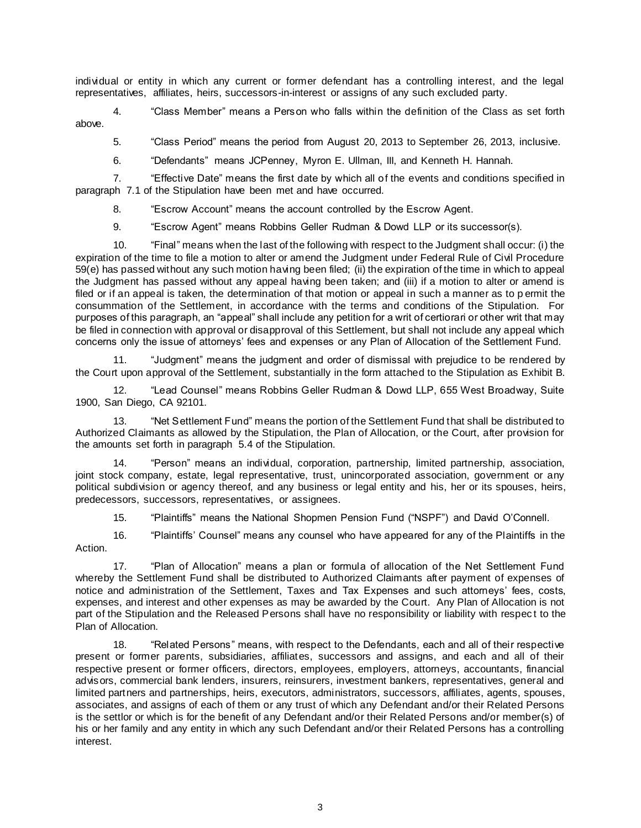individual or entity in which any current or former defendant has a controlling interest, and the legal representatives, affiliates, heirs, successors-in-interest or assigns of any such excluded party.

4. "Class Member" means a Person who falls within the definition of the Class as set forth above.

5. "Class Period" means the period from August 20, 2013 to September 26, 2013, inclusive.

6. "Defendants" means JCPenney, Myron E. Ullman, III, and Kenneth H. Hannah.

7. "Effective Date" means the first date by which all of the events and conditions specified in paragraph 7.1 of the Stipulation have been met and have occurred.

8. "Escrow Account" means the account controlled by the Escrow Agent.

9. "Escrow Agent" means Robbins Geller Rudman & Dowd LLP or its successor(s).

10. "Final" means when the last of the following with respect to the Judgment shall occur: (i) the expiration of the time to file a motion to alter or amend the Judgment under Federal Rule of Civil Procedure 59(e) has passed without any such motion having been filed; (ii) the expiration of the time in which to appeal the Judgment has passed without any appeal having been taken; and (iii) if a motion to alter or amend is filed or if an appeal is taken, the determination of that motion or appeal in such a manner as to p ermit the consummation of the Settlement, in accordance with the terms and conditions of the Stipulation. For purposes of this paragraph, an "appeal" shall include any petition for a writ of certiorari or other writ that may be filed in connection with approval or disapproval of this Settlement, but shall not include any appeal which concerns only the issue of attorneys' fees and expenses or any Plan of Allocation of the Settlement Fund.

11. "Judgment" means the judgment and order of dismissal with prejudice to be rendered by the Court upon approval of the Settlement, substantially in the form attached to the Stipulation as Exhibit B.

12. "Lead Counsel" means Robbins Geller Rudman & Dowd LLP, 655 West Broadway, Suite 1900, San Diego, CA 92101.

13. "Net Settlement Fund" means the portion of the Settlement Fund that shall be distributed to Authorized Claimants as allowed by the Stipulation, the Plan of Allocation, or the Court, after provision for the amounts set forth in paragraph 5.4 of the Stipulation.

14. "Person" means an individual, corporation, partnership, limited partnership, association, joint stock company, estate, legal representative, trust, unincorporated association, government or any political subdivision or agency thereof, and any business or legal entity and his, her or its spouses, heirs, predecessors, successors, representatives, or assignees.

15. "Plaintiffs" means the National Shopmen Pension Fund ("NSPF") and David O'Connell.

16. "Plaintiffs' Counsel" means any counsel who have appeared for any of the Plaintiffs in the Action.

17. "Plan of Allocation" means a plan or formula of allocation of the Net Settlement Fund whereby the Settlement Fund shall be distributed to Authorized Claimants after payment of expenses of notice and administration of the Settlement, Taxes and Tax Expenses and such attorneys' fees, costs, expenses, and interest and other expenses as may be awarded by the Court. Any Plan of Allocation is not part of the Stipulation and the Released Persons shall have no responsibility or liability with respec t to the Plan of Allocation.

18. "Related Persons" means, with respect to the Defendants, each and all of their respective present or former parents, subsidiaries, affiliates, successors and assigns, and each and all of their respective present or former officers, directors, employees, employers, attorneys, accountants, financial advisors, commercial bank lenders, insurers, reinsurers, investment bankers, representatives, general and limited partners and partnerships, heirs, executors, administrators, successors, affiliates, agents, spouses, associates, and assigns of each of them or any trust of which any Defendant and/or their Related Persons is the settlor or which is for the benefit of any Defendant and/or their Related Persons and/or member(s) of his or her family and any entity in which any such Defendant and/or their Related Persons has a controlling interest.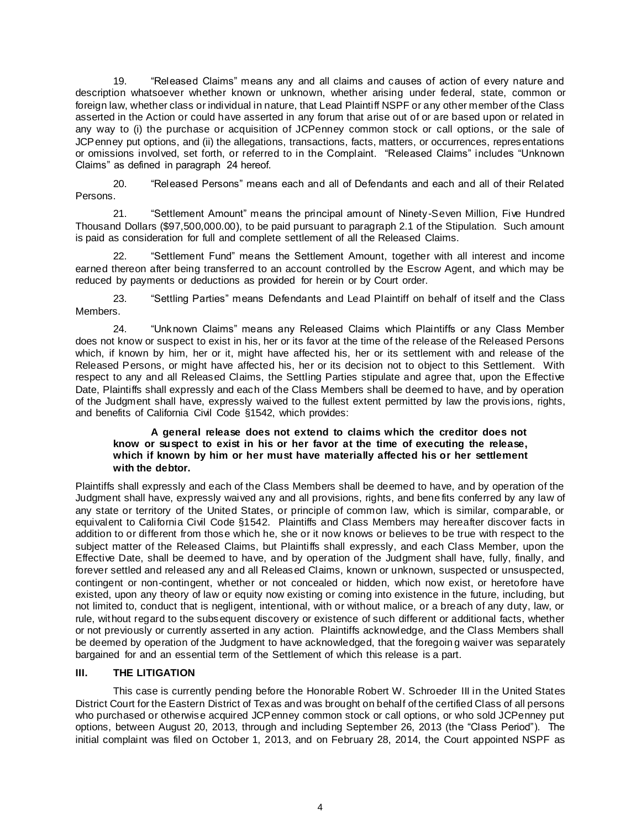19. "Released Claims" means any and all claims and causes of action of every nature and description whatsoever whether known or unknown, whether arising under federal, state, common or foreign law, whether class or individual in nature, that Lead Plaintiff NSPF or any other member of the Class asserted in the Action or could have asserted in any forum that arise out of or are based upon or related in any way to (i) the purchase or acquisition of JCPenney common stock or call options, or the sale of JCPenney put options, and (ii) the allegations, transactions, facts, matters, or occurrences, representations or omissions involved, set forth, or referred to in the Complaint. "Released Claims" includes "Unknown Claims" as defined in paragraph 24 hereof.

20. "Released Persons" means each and all of Defendants and each and all of their Related Persons.

21. "Settlement Amount" means the principal amount of Ninety-Seven Million, Five Hundred Thousand Dollars (\$97,500,000.00), to be paid pursuant to paragraph 2.1 of the Stipulation. Such amount is paid as consideration for full and complete settlement of all the Released Claims.

22. "Settlement Fund" means the Settlement Amount, together with all interest and income earned thereon after being transferred to an account controlled by the Escrow Agent, and which may be reduced by payments or deductions as provided for herein or by Court order.

23. "Settling Parties" means Defendants and Lead Plaintiff on behalf of itself and the Class Members.

24. "Unknown Claims" means any Released Claims which Plaintiffs or any Class Member does not know or suspect to exist in his, her or its favor at the time of the release of the Released Persons which, if known by him, her or it, might have affected his, her or its settlement with and release of the Released Persons, or might have affected his, her or its decision not to object to this Settlement. With respect to any and all Released Claims, the Settling Parties stipulate and agree that, upon the Effective Date, Plaintiffs shall expressly and each of the Class Members shall be deemed to have, and by operation of the Judgment shall have, expressly waived to the fullest extent permitted by law the provis ions, rights, and benefits of California Civil Code §1542, which provides:

### **A general release does not extend to claims which the creditor does not know or suspect to exist in his or her favor at the time of executing the release, which if known by him or her must have materially affected his or her settlement with the debtor.**

Plaintiffs shall expressly and each of the Class Members shall be deemed to have, and by operation of the Judgment shall have, expressly waived any and all provisions, rights, and bene fits conferred by any law of any state or territory of the United States, or principle of common law, which is similar, comparable, or equivalent to California Civil Code §1542. Plaintiffs and Class Members may hereafter discover facts in addition to or different from those which he, she or it now knows or believes to be true with respect to the subject matter of the Released Claims, but Plaintiffs shall expressly, and each Class Member, upon the Effective Date, shall be deemed to have, and by operation of the Judgment shall have, fully, finally, and forever settled and released any and all Released Claims, known or unknown, suspected or unsuspected, contingent or non-contingent, whether or not concealed or hidden, which now exist, or heretofore have existed, upon any theory of law or equity now existing or coming into existence in the future, including, but not limited to, conduct that is negligent, intentional, with or without malice, or a breach of any duty, law, or rule, without regard to the subsequent discovery or existence of such different or additional facts, whether or not previously or currently asserted in any action. Plaintiffs acknowledge, and the Class Members shall be deemed by operation of the Judgment to have acknowledged, that the foregoin g waiver was separately bargained for and an essential term of the Settlement of which this release is a part.

# **III. THE LITIGATION**

This case is currently pending before the Honorable Robert W. Schroeder III in the United States District Court for the Eastern District of Texas and was brought on behalf of the certified Class of all persons who purchased or otherwise acquired JCPenney common stock or call options, or who sold JCPenney put options, between August 20, 2013, through and including September 26, 2013 (the "Class Period"). The initial complaint was filed on October 1, 2013, and on February 28, 2014, the Court appointed NSPF as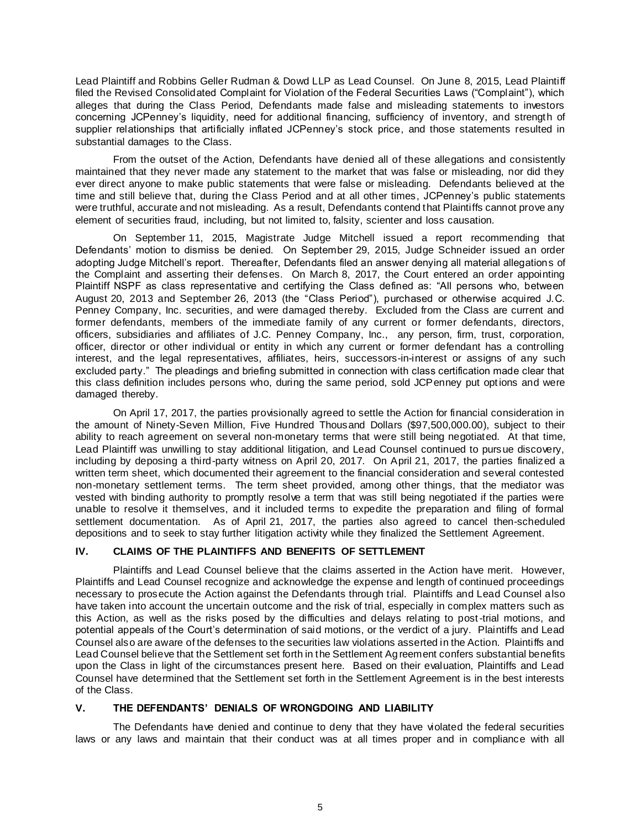Lead Plaintiff and Robbins Geller Rudman & Dowd LLP as Lead Counsel. On June 8, 2015, Lead Plaintiff filed the Revised Consolidated Complaint for Violation of the Federal Securities Laws ("Complaint"), which alleges that during the Class Period, Defendants made false and misleading statements to investors concerning JCPenney's liquidity, need for additional financing, sufficiency of inventory, and strength of supplier relationships that artificially inflated JCPenney's stock price, and those statements resulted in substantial damages to the Class.

From the outset of the Action, Defendants have denied all of these allegations and consistently maintained that they never made any statement to the market that was false or misleading, nor did they ever direct anyone to make public statements that were false or misleading. Defendants believed at the time and still believe that, during the Class Period and at all other times, JCPenney's public statements were truthful, accurate and not misleading. As a result, Defendants contend that Plaintiffs cannot prove any element of securities fraud, including, but not limited to, falsity, scienter and loss causation.

On September 11, 2015, Magistrate Judge Mitchell issued a report recommending that Defendants' motion to dismiss be denied. On September 29, 2015, Judge Schneider issued an order adopting Judge Mitchell's report. Thereafter, Defendants filed an answer denying all material allegations of the Complaint and asserting their defenses. On March 8, 2017, the Court entered an order appointing Plaintiff NSPF as class representative and certifying the Class defined as: "All persons who, between August 20, 2013 and September 26, 2013 (the "Class Period"), purchased or otherwise acquired J.C. Penney Company, Inc. securities, and were damaged thereby. Excluded from the Class are current and former defendants, members of the immediate family of any current or former defendants, directors, officers, subsidiaries and affiliates of J.C. Penney Company, Inc., any person, firm, trust, corporation, officer, director or other individual or entity in which any current or former defendant has a controlling interest, and the legal representatives, affiliates, heirs, successors-in-interest or assigns of any such excluded party." The pleadings and briefing submitted in connection with class certification made clear that this class definition includes persons who, during the same period, sold JCPenney put options and were damaged thereby.

On April 17, 2017, the parties provisionally agreed to settle the Action for financial consideration in the amount of Ninety-Seven Million, Five Hundred Thousand Dollars (\$97,500,000.00), subject to their ability to reach agreement on several non-monetary terms that were still being negotiated. At that time, Lead Plaintiff was unwilling to stay additional litigation, and Lead Counsel continued to pursue discovery, including by deposing a third-party witness on April 20, 2017. On April 21, 2017, the parties finalized a written term sheet, which documented their agreement to the financial consideration and several contested non-monetary settlement terms. The term sheet provided, among other things, that the mediator was vested with binding authority to promptly resolve a term that was still being negotiated if the parties were unable to resolve it themselves, and it included terms to expedite the preparation and filing of formal settlement documentation. As of April 21, 2017, the parties also agreed to cancel then-scheduled depositions and to seek to stay further litigation activity while they finalized the Settlement Agreement.

# **IV. CLAIMS OF THE PLAINTIFFS AND BENEFITS OF SETTLEMENT**

Plaintiffs and Lead Counsel believe that the claims asserted in the Action have merit. However, Plaintiffs and Lead Counsel recognize and acknowledge the expense and length of continued proceedings necessary to prosecute the Action against the Defendants through trial. Plaintiffs and Lead Counsel also have taken into account the uncertain outcome and the risk of trial, especially in complex matters such as this Action, as well as the risks posed by the difficulties and delays relating to post-trial motions, and potential appeals of the Court's determination of said motions, or the verdict of a jury. Plaintiffs and Lead Counsel also are aware of the defenses to the securities law violations asserted in the Action. Plaintiffs and Lead Counsel believe that the Settlement set forth in the Settlement Agreement confers substantial benefits upon the Class in light of the circumstances present here. Based on their evaluation, Plaintiffs and Lead Counsel have determined that the Settlement set forth in the Settlement Agreement is in the best interests of the Class.

### **V. THE DEFENDANTS' DENIALS OF WRONGDOING AND LIABILITY**

The Defendants have denied and continue to deny that they have violated the federal securities laws or any laws and maintain that their conduct was at all times proper and in compliance with all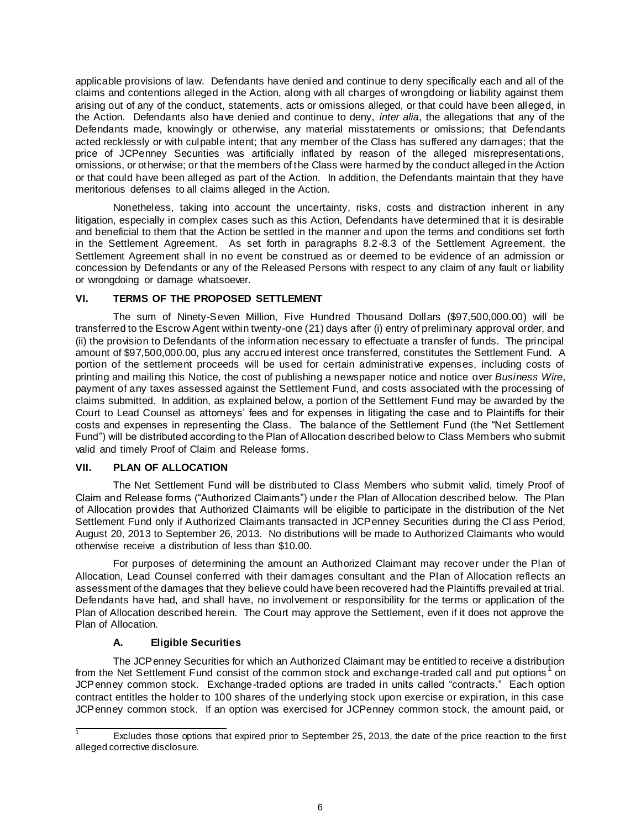applicable provisions of law. Defendants have denied and continue to deny specifically each and all of the claims and contentions alleged in the Action, along with all charges of wrongdoing or liability against them arising out of any of the conduct, statements, acts or omissions alleged, or that could have been alleged, in the Action. Defendants also have denied and continue to deny, *inter alia*, the allegations that any of the Defendants made, knowingly or otherwise, any material misstatements or omissions; that Defendants acted recklessly or with culpable intent; that any member of the Class has suffered any damages; that the price of JCPenney Securities was artificially inflated by reason of the alleged misrepresentations, omissions, or otherwise; or that the members of the Class were harmed by the conduct alleged in the Action or that could have been alleged as part of the Action. In addition, the Defendants maintain that they have meritorious defenses to all claims alleged in the Action.

Nonetheless, taking into account the uncertainty, risks, costs and distraction inherent in any litigation, especially in complex cases such as this Action, Defendants have determined that it is desirable and beneficial to them that the Action be settled in the manner and upon the terms and conditions set forth in the Settlement Agreement. As set forth in paragraphs 8.2 -8.3 of the Settlement Agreement, the Settlement Agreement shall in no event be construed as or deemed to be evidence of an admission or concession by Defendants or any of the Released Persons with respect to any claim of any fault or liability or wrongdoing or damage whatsoever.

### **VI. TERMS OF THE PROPOSED SETTLEMENT**

The sum of Ninety-Seven Million, Five Hundred Thousand Dollars (\$97,500,000.00) will be transferred to the Escrow Agent within twenty-one (21) days after (i) entry of preliminary approval order, and (ii) the provision to Defendants of the information necessary to effectuate a transfer of funds. The principal amount of \$97,500,000.00, plus any accrued interest once transferred, constitutes the Settlement Fund. A portion of the settlement proceeds will be used for certain administrative expenses, including costs of printing and mailing this Notice, the cost of publishing a newspaper notice and notice over *Business Wire*, payment of any taxes assessed against the Settlement Fund, and costs associated with the processing of claims submitted. In addition, as explained below, a portion of the Settlement Fund may be awarded by the Court to Lead Counsel as attorneys' fees and for expenses in litigating the case and to Plaintiffs for their costs and expenses in representing the Class. The balance of the Settlement Fund (the "Net Settlement Fund") will be distributed according to the Plan of Allocation described below to Class Members who submit valid and timely Proof of Claim and Release forms.

### **VII. PLAN OF ALLOCATION**

The Net Settlement Fund will be distributed to Class Members who submit valid, timely Proof of Claim and Release forms ("Authorized Claimants") under the Plan of Allocation described below. The Plan of Allocation provides that Authorized Claimants will be eligible to participate in the distribution of the Net Settlement Fund only if Authorized Claimants transacted in JCPenney Securities during the Cl ass Period, August 20, 2013 to September 26, 2013. No distributions will be made to Authorized Claimants who would otherwise receive a distribution of less than \$10.00.

For purposes of determining the amount an Authorized Claimant may recover under the Plan of Allocation, Lead Counsel conferred with their damages consultant and the Plan of Allocation reflects an assessment of the damages that they believe could have been recovered had the Plaintiffs prevailed at trial. Defendants have had, and shall have, no involvement or responsibility for the terms or application of the Plan of Allocation described herein. The Court may approve the Settlement, even if it does not approve the Plan of Allocation.

# **A. Eligible Securities**

The JCPenney Securities for which an Authorized Claimant may be entitled to receive a distribution from the Net Settlement Fund consist of the common stock and exchange-traded call and put options<sup>1</sup> on JCPenney common stock. Exchange-traded options are traded in units called "contracts." Each option contract entitles the holder to 100 shares of the underlying stock upon exercise or expiration, in this case JCPenney common stock. If an option was exercised for JCPenney common stock, the amount paid, or

Excludes those options that expired prior to September 25, 2013, the date of the price reaction to the first alleged corrective disclosure.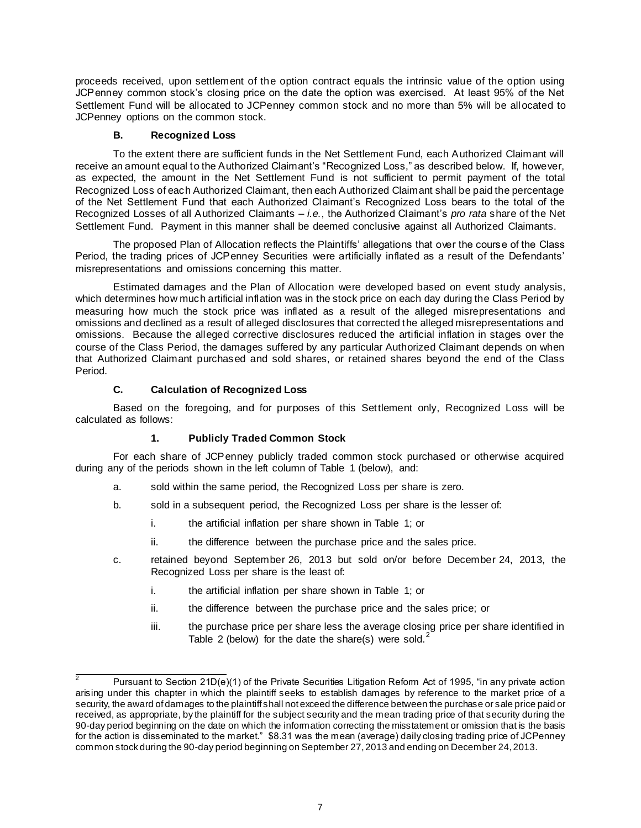proceeds received, upon settlement of the option contract equals the intrinsic value of the option using JCPenney common stock's closing price on the date the option was exercised. At least 95% of the Net Settlement Fund will be allocated to JCPenney common stock and no more than 5% will be allocated to JCPenney options on the common stock.

### **B. Recognized Loss**

To the extent there are sufficient funds in the Net Settlement Fund, each Authorized Claimant will receive an amount equal to the Authorized Claimant's "Recognized Loss," as described below. If, however, as expected, the amount in the Net Settlement Fund is not sufficient to permit payment of the total Recognized Loss of each Authorized Claimant, then each Authorized Claimant shall be paid the percentage of the Net Settlement Fund that each Authorized Claimant's Recognized Loss bears to the total of the Recognized Losses of all Authorized Claimants – *i.e.*, the Authorized Claimant's *pro rata* share of the Net Settlement Fund. Payment in this manner shall be deemed conclusive against all Authorized Claimants.

The proposed Plan of Allocation reflects the Plaintiffs' allegations that over the course of the Class Period, the trading prices of JCPenney Securities were artificially inflated as a result of the Defendants' misrepresentations and omissions concerning this matter.

Estimated damages and the Plan of Allocation were developed based on event study analysis, which determines how much artificial inflation was in the stock price on each day during the Class Period by measuring how much the stock price was inflated as a result of the alleged misrepresentations and omissions and declined as a result of alleged disclosures that corrected the alleged misrepresentations and omissions. Because the alleged corrective disclosures reduced the artificial inflation in stages over the course of the Class Period, the damages suffered by any particular Authorized Claimant depends on when that Authorized Claimant purchased and sold shares, or retained shares beyond the end of the Class Period.

### **C. Calculation of Recognized Loss**

Based on the foregoing, and for purposes of this Settlement only, Recognized Loss will be calculated as follows:

### **1. Publicly Traded Common Stock**

For each share of JCPenney publicly traded common stock purchased or otherwise acquired during any of the periods shown in the left column of Table 1 (below), and:

- a. sold within the same period, the Recognized Loss per share is zero.
- b. sold in a subsequent period, the Recognized Loss per share is the lesser of:
	- i. the artificial inflation per share shown in Table 1; or
	- ii. the difference between the purchase price and the sales price.
- c. retained beyond September 26, 2013 but sold on/or before December 24, 2013, the Recognized Loss per share is the least of:
	- i. the artificial inflation per share shown in Table 1; or
	- ii. the difference between the purchase price and the sales price; or
	- iii. the purchase price per share less the average closing price per share identified in Table 2 (below) for the date the share(s) were sold.<sup>2</sup>

Pursuant to Section 21D(e)(1) of the Private Securities Litigation Reform Act of 1995, "in any private action arising under this chapter in which the plaintiff seeks to establish damages by reference to the market price of a security, the award of damages to the plaintiff shall not exceed the difference between the purchase or sale price paid or received, as appropriate, by the plaintiff for the subject security and the mean trading price of that security during the 90-day period beginning on the date on which the information correcting the misstatement or omission that is the basis for the action is disseminated to the market." \$8.31 was the mean (average) daily closing trading price of JCPenney common stock during the 90-day period beginning on September 27, 2013 and ending on December 24, 2013.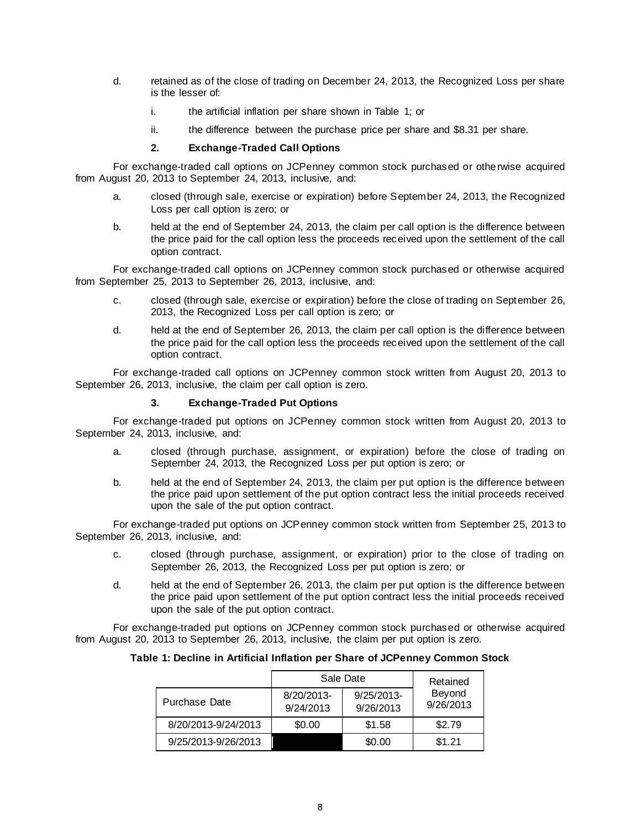- d. retained as of the close of trading on December 24, 2013, the Recognized Loss per share is the lesser of:
	- i. the artificial inflation per share shown in Table 1; or
	- ii. the difference between the purchase price per share and \$8.31 per share.

### **2. Exchange-Traded Call Options**

For exchange-traded call options on JCPenney common stock purchased or othe rwise acquired from August 20, 2013 to September 24, 2013, inclusive, and:

- a. closed (through sale, exercise or expiration) before September 24, 2013, the Recognized Loss per call option is zero; or
- b. held at the end of September 24, 2013, the claim per call option is the difference between the price paid for the call option less the proceeds received upon the settlement of the call option contract.

For exchange-traded call options on JCPenney common stock purchased or otherwise acquired from September 25, 2013 to September 26, 2013, inclusive, and:

- c. closed (through sale, exercise or expiration) before the close of trading on September 26, 2013, the Recognized Loss per call option is zero; or
- d. held at the end of September 26, 2013, the claim per call option is the difference between the price paid for the call option less the proceeds received upon the settlement of the call option contract.

For exchange-traded call options on JCPenney common stock written from August 20, 2013 to September 26, 2013, inclusive, the claim per call option is zero.

### **3. Exchange-Traded Put Options**

For exchange-traded put options on JCPenney common stock written from August 20, 2013 to September 24, 2013, inclusive, and:

- a. closed (through purchase, assignment, or expiration) before the close of trading on September 24, 2013, the Recognized Loss per put option is zero; or
- b. held at the end of September 24, 2013, the claim per put option is the difference between the price paid upon settlement of the put option contract less the initial proceeds received upon the sale of the put option contract.

For exchange-traded put options on JCPenney common stock written from September 25, 2013 to September 26, 2013, inclusive, and:

- c. closed (through purchase, assignment, or expiration) prior to the close of trading on September 26, 2013, the Recognized Loss per put option is zero; or
- d. held at the end of September 26, 2013, the claim per put option is the difference between the price paid upon settlement of the put option contract less the initial proceeds received upon the sale of the put option contract.

For exchange-traded put options on JCPenney common stock purchased or otherwise acquired from August 20, 2013 to September 26, 2013, inclusive, the claim per put option is zero.

### **Table 1: Decline in Artificial Inflation per Share of JCPenney Common Stock**

|                     | Sale Date               | Retained                   |                     |  |
|---------------------|-------------------------|----------------------------|---------------------|--|
| Purchase Date       | 8/20/2013-<br>9/24/2013 | $9/25/2013$ -<br>9/26/2013 | Beyond<br>9/26/2013 |  |
| 8/20/2013-9/24/2013 | \$0.00                  | \$1.58                     | \$2.79              |  |
| 9/25/2013-9/26/2013 |                         | \$0.00                     | \$1.21              |  |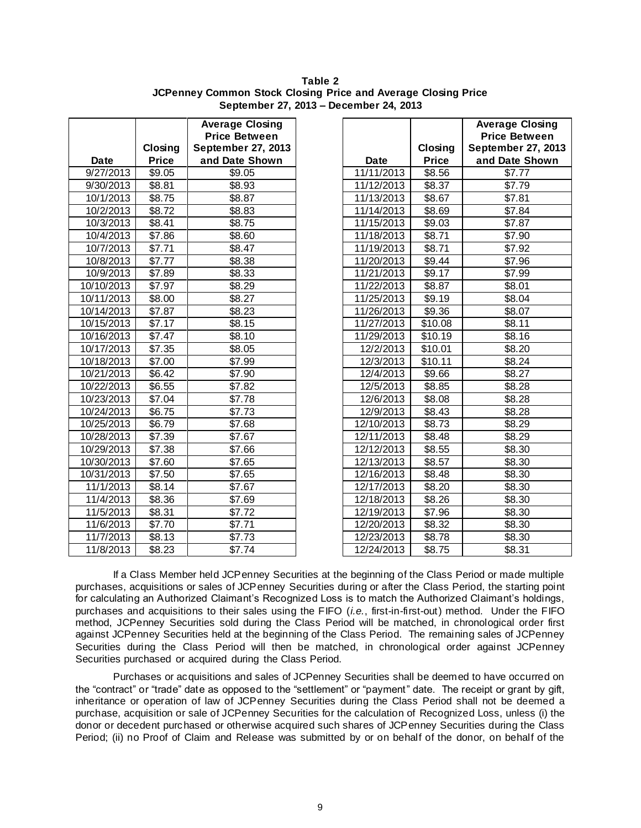**Table 2 JCPenney Common Stock Closing Price and Average Closing Price September 27, 2013 – December 24, 2013**

|             | Closing      | <b>Average Closing</b><br><b>Price Between</b><br><b>September 27, 2013</b> |            | Closing      | <b>Average Cl</b><br><b>Price Bety</b><br>September 2 |
|-------------|--------------|-----------------------------------------------------------------------------|------------|--------------|-------------------------------------------------------|
| <b>Date</b> | <b>Price</b> | and Date Shown                                                              | Date       | <b>Price</b> | and Date S                                            |
| 9/27/2013   | \$9.05       | \$9.05                                                                      | 11/11/2013 | \$8.56       | \$7.77                                                |
| 9/30/2013   | \$8.81       | \$8.93                                                                      | 11/12/2013 | \$8.37       | \$7.79                                                |
| 10/1/2013   | \$8.75       | \$8.87                                                                      | 11/13/2013 | \$8.67       | \$7.81                                                |
| 10/2/2013   | \$8.72       | \$8.83                                                                      | 11/14/2013 | \$8.69       | \$7.84                                                |
| 10/3/2013   | \$8.41       | \$8.75                                                                      | 11/15/2013 | \$9.03       | \$7.87                                                |
| 10/4/2013   | \$7.86       | \$8.60                                                                      | 11/18/2013 | \$8.71       | \$7.90                                                |
| 10/7/2013   | \$7.71       | \$8.47                                                                      | 11/19/2013 | \$8.71       | \$7.92                                                |
| 10/8/2013   | \$7.77       | \$8.38                                                                      | 11/20/2013 | \$9.44       | \$7.96                                                |
| 10/9/2013   | \$7.89       | \$8.33                                                                      | 11/21/2013 | \$9.17       | \$7.99                                                |
| 10/10/2013  | \$7.97       | \$8.29                                                                      | 11/22/2013 | \$8.87       | \$8.01                                                |
| 10/11/2013  | \$8.00       | \$8.27                                                                      | 11/25/2013 | \$9.19       | \$8.04                                                |
| 10/14/2013  | \$7.87       | \$8.23                                                                      | 11/26/2013 | \$9.36       | \$8.07                                                |
| 10/15/2013  | \$7.17       | \$8.15                                                                      | 11/27/2013 | \$10.08      | \$8.11                                                |
| 10/16/2013  | \$7.47       | \$8.10                                                                      | 11/29/2013 | \$10.19      | \$8.16                                                |
| 10/17/2013  | \$7.35       | \$8.05                                                                      | 12/2/2013  | \$10.01      | \$8.20                                                |
| 10/18/2013  | \$7.00       | \$7.99                                                                      | 12/3/2013  | \$10.11      | \$8.24                                                |
| 10/21/2013  | \$6.42       | \$7.90                                                                      | 12/4/2013  | \$9.66       | \$8.27                                                |
| 10/22/2013  | \$6.55       | \$7.82                                                                      | 12/5/2013  | \$8.85       | \$8.28                                                |
| 10/23/2013  | \$7.04       | \$7.78                                                                      | 12/6/2013  | \$8.08       | \$8.28                                                |
| 10/24/2013  | \$6.75       | \$7.73                                                                      | 12/9/2013  | \$8.43       | \$8.28                                                |
| 10/25/2013  | \$6.79       | \$7.68                                                                      | 12/10/2013 | \$8.73       | \$8.29                                                |
| 10/28/2013  | \$7.39       | \$7.67                                                                      | 12/11/2013 | \$8.48       | \$8.29                                                |
| 10/29/2013  | \$7.38       | \$7.66                                                                      | 12/12/2013 | \$8.55       | \$8.30                                                |
| 10/30/2013  | \$7.60       | \$7.65                                                                      | 12/13/2013 | \$8.57       | \$8.30                                                |
| 10/31/2013  | \$7.50       | \$7.65                                                                      | 12/16/2013 | \$8.48       | \$8.30                                                |
| 11/1/2013   | \$8.14       | \$7.67                                                                      | 12/17/2013 | \$8.20       | \$8.30                                                |
| 11/4/2013   | \$8.36       | \$7.69                                                                      | 12/18/2013 | \$8.26       | \$8.30                                                |
| 11/5/2013   | \$8.31       | \$7.72                                                                      | 12/19/2013 | \$7.96       | \$8.30                                                |
| 11/6/2013   | \$7.70       | \$7.71                                                                      | 12/20/2013 | \$8.32       | \$8.30                                                |
| 11/7/2013   | \$8.13       | \$7.73                                                                      | 12/23/2013 | \$8.78       | \$8.30                                                |
| 11/8/2013   | \$8.23       | \$7.74                                                                      | 12/24/2013 | \$8.75       | \$8.31                                                |

|            |              | <b>Average Closing</b> |
|------------|--------------|------------------------|
|            |              | <b>Price Between</b>   |
|            | Closing      | September 27, 2013     |
| Date       | <b>Price</b> | and Date Shown         |
| 11/11/2013 | \$8.56       | \$7.77                 |
| 11/12/2013 | \$8.37       | \$7.79                 |
| 11/13/2013 | \$8.67       | \$7.81                 |
| 11/14/2013 | \$8.69       | \$7.84                 |
| 11/15/2013 | \$9.03       | \$7.87                 |
| 11/18/2013 | \$8.71       | \$7.90                 |
| 11/19/2013 | \$8.71       | \$7.92                 |
| 11/20/2013 | \$9.44       | \$7.96                 |
| 11/21/2013 | \$9.17       | \$7.99                 |
| 11/22/2013 | \$8.87       | \$8.01                 |
| 11/25/2013 | \$9.19       | \$8.04                 |
| 11/26/2013 | \$9.36       | \$8.07                 |
| 11/27/2013 | \$10.08      | \$8.11                 |
| 11/29/2013 | \$10.19      | \$8.16                 |
| 12/2/2013  | \$10.01      | \$8.20                 |
| 12/3/2013  | \$10.11      | \$8.24                 |
| 12/4/2013  | \$9.66       | \$8.27                 |
| 12/5/2013  | \$8.85       | \$8.28                 |
| 12/6/2013  | \$8.08       | \$8.28                 |
| 12/9/2013  | \$8.43       | \$8.28                 |
| 12/10/2013 | \$8.73       | \$8.29                 |
| 12/11/2013 | \$8.48       | \$8.29                 |
| 12/12/2013 | \$8.55       | \$8.30                 |
| 12/13/2013 | \$8.57       | \$8.30                 |
| 12/16/2013 | \$8.48       | \$8.30                 |
| 12/17/2013 | \$8.20       | \$8.30                 |
| 12/18/2013 | \$8.26       | \$8.30                 |
| 12/19/2013 | \$7.96       | \$8.30                 |
| 12/20/2013 | \$8.32       | \$8.30                 |
| 12/23/2013 | \$8.78       | \$8.30                 |
| 12/24/2013 | \$8.75       | \$8.31                 |

If a Class Member held JCPenney Securities at the beginning of the Class Period or made multiple purchases, acquisitions or sales of JCPenney Securities during or after the Class Period, the starting point for calculating an Authorized Claimant's Recognized Loss is to match the Authorized Claimant's holdings, purchases and acquisitions to their sales using the FIFO (*i.e.*, first-in-first-out) method. Under the FIFO method, JCPenney Securities sold during the Class Period will be matched, in chronological order first against JCPenney Securities held at the beginning of the Class Period. The remaining sales of JCPenney Securities during the Class Period will then be matched, in chronological order against JCPenney Securities purchased or acquired during the Class Period.

Purchases or acquisitions and sales of JCPenney Securities shall be deemed to have occurred on the "contract" or "trade" date as opposed to the "settlement" or "payment" date. The receipt or grant by gift, inheritance or operation of law of JCPenney Securities during the Class Period shall not be deemed a purchase, acquisition or sale of JCPenney Securities for the calculation of Recognized Loss, unless (i) the donor or decedent purchased or otherwise acquired such shares of JCPenney Securities during the Class Period; (ii) no Proof of Claim and Release was submitted by or on behalf of the donor, on behalf of the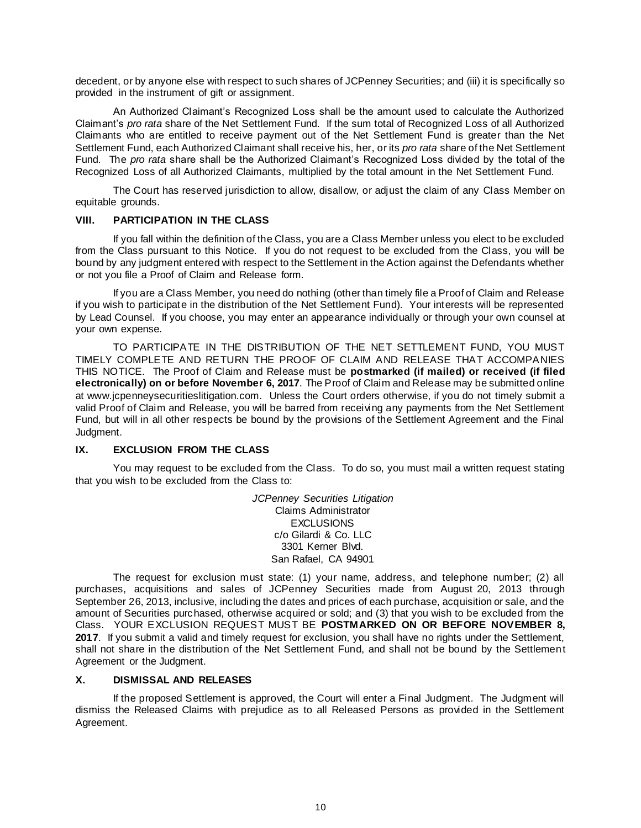decedent, or by anyone else with respect to such shares of JCPenney Securities; and (iii) it is specifically so provided in the instrument of gift or assignment.

An Authorized Claimant's Recognized Loss shall be the amount used to calculate the Authorized Claimant's *pro rata* share of the Net Settlement Fund. If the sum total of Recognized Loss of all Authorized Claimants who are entitled to receive payment out of the Net Settlement Fund is greater than the Net Settlement Fund, each Authorized Claimant shall receive his, her, or its *pro rata* share of the Net Settlement Fund. The *pro rata* share shall be the Authorized Claimant's Recognized Loss divided by the total of the Recognized Loss of all Authorized Claimants, multiplied by the total amount in the Net Settlement Fund.

The Court has reserved jurisdiction to allow, disallow, or adjust the claim of any Class Member on equitable grounds.

### **VIII. PARTICIPATION IN THE CLASS**

If you fall within the definition of the Class, you are a Class Member unless you elect to be excluded from the Class pursuant to this Notice. If you do not request to be excluded from the Class, you will be bound by any judgment entered with respect to the Settlement in the Action against the Defendants whether or not you file a Proof of Claim and Release form.

If you are a Class Member, you need do nothing (other than timely file a Proof of Claim and Release if you wish to participate in the distribution of the Net Settlement Fund). Your interests will be represented by Lead Counsel. If you choose, you may enter an appearance individually or through your own counsel at your own expense.

TO PARTICIPATE IN THE DISTRIBUTION OF THE NET SETTLEMENT FUND, YOU MUST TIMELY COMPLETE AND RETURN THE PROOF OF CLAIM AND RELEASE THAT ACCOMPANIES THIS NOTICE. The Proof of Claim and Release must be **postmarked (if mailed) or received (if filed electronically) on or before November 6, 2017**. The Proof of Claim and Release may be submitted online at www.jcpenneysecuritieslitigation.com. Unless the Court orders otherwise, if you do not timely submit a valid Proof of Claim and Release, you will be barred from receiving any payments from the Net Settlement Fund, but will in all other respects be bound by the provisions of the Settlement Agreement and the Final Judgment.

### **IX. EXCLUSION FROM THE CLASS**

You may request to be excluded from the Class. To do so, you must mail a written request stating that you wish to be excluded from the Class to:

> *JCPenney Securities Litigation* Claims Administrator **EXCLUSIONS** c/o Gilardi & Co. LLC 3301 Kerner Blvd. San Rafael, CA 94901

The request for exclusion must state: (1) your name, address, and telephone number; (2) all purchases, acquisitions and sales of JCPenney Securities made from August 20, 2013 through September 26, 2013, inclusive, including the dates and prices of each purchase, acquisition or sale, and the amount of Securities purchased, otherwise acquired or sold; and (3) that you wish to be excluded from the Class. YOUR EXCLUSION REQUEST MUST BE **POSTMARKED ON OR BEFORE NOVEMBER 8, 2017**. If you submit a valid and timely request for exclusion, you shall have no rights under the Settlement, shall not share in the distribution of the Net Settlement Fund, and shall not be bound by the Settlement Agreement or the Judgment.

#### **X. DISMISSAL AND RELEASES**

If the proposed Settlement is approved, the Court will enter a Final Judgment. The Judgment will dismiss the Released Claims with prejudice as to all Released Persons as provided in the Settlement Agreement.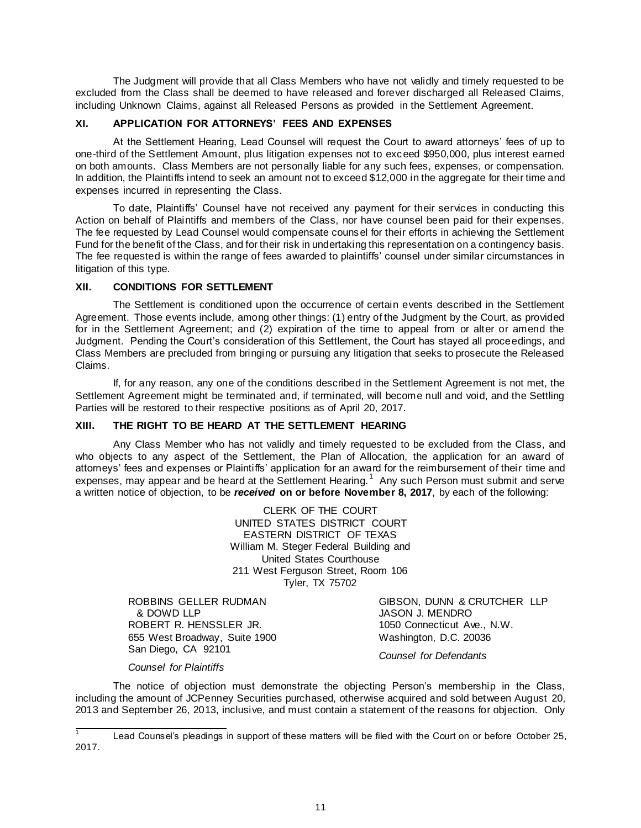The Judgment will provide that all Class Members who have not validly and timely requested to be excluded from the Class shall be deemed to have released and forever discharged all Released Claims, including Unknown Claims, against all Released Persons as provided in the Settlement Agreement.

# **XI. APPLICATION FOR ATTORNEYS' FEES AND EXPENSES**

At the Settlement Hearing, Lead Counsel will request the Court to award attorneys' fees of up to one-third of the Settlement Amount, plus litigation expenses not to exceed \$950,000, plus interest earned on both amounts. Class Members are not personally liable for any such fees, expenses, or compensation. In addition, the Plaintiffs intend to seek an amount not to exceed \$12,000 in the aggregate for their time and expenses incurred in representing the Class.

To date, Plaintiffs' Counsel have not received any payment for their services in conducting this Action on behalf of Plaintiffs and members of the Class, nor have counsel been paid for their expenses. The fee requested by Lead Counsel would compensate counsel for their efforts in achieving the Settlement Fund for the benefit of the Class, and for their risk in undertaking this representation on a contingency basis. The fee requested is within the range of fees awarded to plaintiffs' counsel under similar circumstances in litigation of this type.

### **XII. CONDITIONS FOR SETTLEMENT**

The Settlement is conditioned upon the occurrence of certain events described in the Settlement Agreement. Those events include, among other things: (1) entry of the Judgment by the Court, as provided for in the Settlement Agreement; and (2) expiration of the time to appeal from or alter or amend the Judgment. Pending the Court's consideration of this Settlement, the Court has stayed all proceedings, and Class Members are precluded from bringing or pursuing any litigation that seeks to prosecute the Released Claims.

If, for any reason, any one of the conditions described in the Settlement Agreement is not met, the Settlement Agreement might be terminated and, if terminated, will become null and void, and the Settling Parties will be restored to their respective positions as of April 20, 2017.

### **XIII. THE RIGHT TO BE HEARD AT THE SETTLEMENT HEARING**

Any Class Member who has not validly and timely requested to be excluded from the Class, and who objects to any aspect of the Settlement, the Plan of Allocation, the application for an award of attorneys' fees and expenses or Plaintiffs' application for an award for the reimbursement of their time and expenses, may appear and be heard at the Settlement Hearing.<sup>1</sup> Any such Person must submit and serve a written notice of objection, to be *received* **on or before November 8, 2017**, by each of the following:

> CLERK OF THE COURT UNITED STATES DISTRICT COURT EASTERN DISTRICT OF TEXAS William M. Steger Federal Building and United States Courthouse 211 West Ferguson Street, Room 106 Tyler, TX 75702

ROBBINS GELLER RUDMAN & DOWD LLP ROBERT R. HENSSLER JR. 655 West Broadway, Suite 1900 San Diego, CA 92101

GIBSON, DUNN & CRUTCHER LLP JASON J. MENDRO 1050 Connecticut Ave., N.W. Washington, D.C. 20036

*Counsel for Defendants*

*Counsel for Plaintiffs*

The notice of objection must demonstrate the objecting Person's membership in the Class, including the amount of JCPenney Securities purchased, otherwise acquired and sold between August 20, 2013 and September 26, 2013, inclusive, and must contain a statement of the reasons for objection. Only

 $\overline{1}$ Lead Counsel's pleadings in support of these matters will be filed with the Court on or before October 25, 2017.